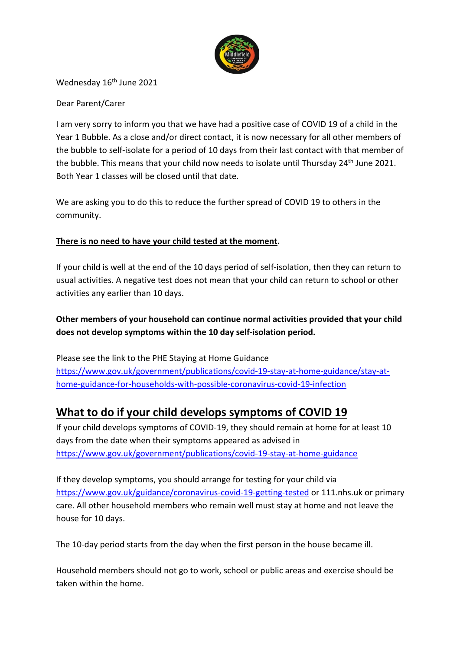

Wednesday 16<sup>th</sup> June 2021

### Dear Parent/Carer

I am very sorry to inform you that we have had a positive case of COVID 19 of a child in the Year 1 Bubble. As a close and/or direct contact, it is now necessary for all other members of the bubble to self-isolate for a period of 10 days from their last contact with that member of the bubble. This means that your child now needs to isolate until Thursday 24<sup>th</sup> June 2021. Both Year 1 classes will be closed until that date.

We are asking you to do this to reduce the further spread of COVID 19 to others in the community.

### **There is no need to have your child tested at the moment.**

If your child is well at the end of the 10 days period of self-isolation, then they can return to usual activities. A negative test does not mean that your child can return to school or other activities any earlier than 10 days.

## **Other members of your household can continue normal activities provided that your child does not develop symptoms within the 10 day self-isolation period.**

Please see the link to the PHE Staying at Home Guidance https://www.gov.uk/government/publications/covid-19-stay-at-home-guidance/stay-athome-guidance-for-households-with-possible-coronavirus-covid-19-infection

# **What to do if your child develops symptoms of COVID 19**

If your child develops symptoms of COVID-19, they should remain at home for at least 10 days from the date when their symptoms appeared as advised in https://www.gov.uk/government/publications/covid-19-stay-at-home-guidance

If they develop symptoms, you should arrange for testing for your child via https://www.gov.uk/guidance/coronavirus-covid-19-getting-tested or 111.nhs.uk or primary care. All other household members who remain well must stay at home and not leave the house for 10 days.

The 10-day period starts from the day when the first person in the house became ill.

Household members should not go to work, school or public areas and exercise should be taken within the home.